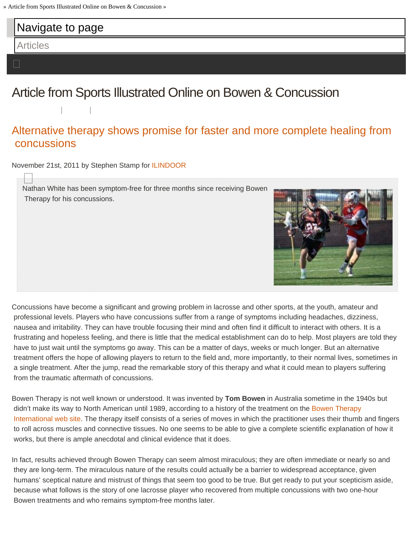<span id="page-0-0"></span>

## [Alternative therapy shows promise for faster and more complete healing from](http://www.ilindoor.com/2011/11/21/alternative-therapy-shows-promise-for-faster-and-more-complete-healing-from-concussions/)  [concussions](http://www.ilindoor.com/2011/11/21/alternative-therapy-shows-promise-for-faster-and-more-complete-healing-from-concussions/)

November 21st, 2011 by Stephen Stamp for [ILINDOOR](http://www.ilindoor.com/)

 $\Box$ Nathan White has been symptom-free for three months since receiving Bowen Therapy for his concussions.



Concussions have become a significant and growing problem in lacrosse and other sports, at the youth, amateur and professional levels. Players who have concussions suffer from a range of symptoms including headaches, dizziness, nausea and irritability. They can have trouble focusing their mind and often find it difficult to interact with others. It is a frustrating and hopeless feeling, and there is little that the medical establishment can do to help. Most players are told they have to just wait until the symptoms go away. This can be a matter of days, weeks or much longer. But an alternative treatment offers the hope of allowing players to return to the field and, more importantly, to their normal lives, sometimes in a single treatment. After the jump, read the remarkable story of this therapy and what it could mean to players suffering from the traumatic aftermath of concussions.

Bowen Therapy is not well known or understood. It was invented by **Tom Bowen** in Australia sometime in the 1940s but didn't make its way to North American until 1989, according to a history of the treatment on the [Bowen Therapy](http://www.bowencanada.ca/)  [International web site.](http://www.bowencanada.ca/) The therapy itself consists of a series of moves in which the practitioner uses their thumb and fingers to roll across muscles and connective tissues. No one seems to be able to give a complete scientific explanation of how it works, but there is ample anecdotal and clinical evidence that it does.

In fact, results achieved through Bowen Therapy can seem almost miraculous; they are often immediate or nearly so and they are long-term. The miraculous nature of the results could actually be a barrier to widespread acceptance, given humans' sceptical nature and mistrust of things that seem too good to be true. But get ready to put your scepticism aside, because what follows is the story of one lacrosse player who recovered from multiple concussions with two one-hour Bowen treatments and who remains symptom-free months later.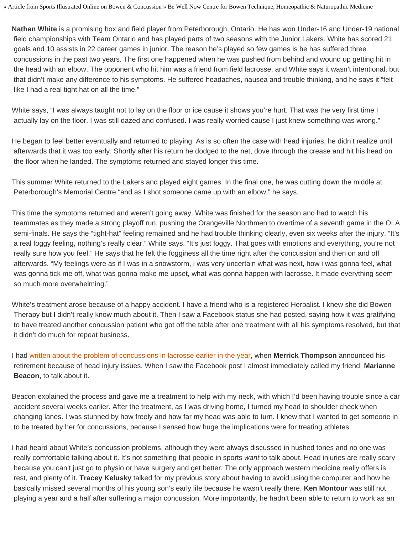» Article from Sports Illustrated Online on Bowen & Concussion » Be Well Now Centre for Bowen Technique, Homeopathic & Naturopathic Medicine

**Nathan White** is a promising box and field player from Peterborough, Ontario. He has won Under-16 and Under-19 national field championships with Team Ontario and has played parts of two seasons with the Junior Lakers. White has scored 21 goals and 10 assists in 22 career games in junior. The reason he's played so few games is he has suffered three concussions in the past two years. The first one happened when he was pushed from behind and wound up getting hit in the head with an elbow. The opponent who hit him was a friend from field lacrosse, and White says it wasn't intentional, but that didn't make any difference to his symptoms. He suffered headaches, nausea and trouble thinking, and he says it "felt like I had a real tight hat on all the time."

White says, "I was always taught not to lay on the floor or ice cause it shows you're hurt. That was the very first time I actually lay on the floor. I was still dazed and confused. I was really worried cause I just knew something was wrong."

He began to feel better eventually and returned to playing. As is so often the case with head injuries, he didn't realize until afterwards that it was too early. Shortly after his return he dodged to the net, dove through the crease and hit his head on the floor when he landed. The symptoms returned and stayed longer this time.

This summer White returned to the Lakers and played eight games. In the final one, he was cutting down the middle at Peterborough's Memorial Centre "and as I shot someone came up with an elbow," he says.

This time the symptoms returned and weren't going away. White was finished for the season and had to watch his teammates as they made a strong playoff run, pushing the Orangeville Northmen to overtime of a seventh game in the OLA semi-finals. He says the "tight-hat" feeling remained and he had trouble thinking clearly, even six weeks after the injury. "It's a real foggy feeling, nothing's really clear," White says. "It's just foggy. That goes with emotions and everything, you're not really sure how you feel." He says that he felt the fogginess all the time right after the concussion and then on and off afterwards. "My feelings were as if I was in a snowstorm, i was very uncertain what was next, how i was gonna feel, what was gonna tick me off, what was gonna make me upset, what was gonna happen with lacrosse. It made everything seem so much more overwhelming."

White's treatment arose because of a happy accident. I have a friend who is a registered Herbalist. I knew she did Bowen Therapy but I didn't really know much about it. Then I saw a Facebook status she had posted, saying how it was gratifying to have treated another concussion patient who got off the table after one treatment with all his symptoms resolved, but that it didn't do much for repeat business.

I had [written about the problem of concussions in lacrosse earlier in the year,](http://www.ilindoor.com/2011/04/07/concussion-ends-the-career-of-merrick-thomson-does-lacrosse-have-a-head-trauma-issue/) when **Merrick Thompson** announced his retirement because of head injury issues. When I saw the Facebook post I almost immediately called my friend, **Marianne Beacon**, to talk about it.

Beacon explained the process and gave me a treatment to help with my neck, with which I'd been having trouble since a car accident several weeks earlier. After the treatment, as I was driving home, I turned my head to shoulder check when changing lanes. I was stunned by how freely and how far my head was able to turn. I knew that I wanted to get someone in to be treated by her for concussions, because I sensed how huge the implications were for treating athletes.

I had heard about White's concussion problems, although they were always discussed in hushed tones and no one was really comfortable talking about it. It's not something that people in sports *want* to talk about. Head injuries are really scary because you can't just go to physio or have surgery and get better. The only approach western medicine really offers is rest, and plenty of it. **Tracey Kelusky** talked for my previous story about having to avoid using the computer and how he basically missed several months of his young son's early life because he wasn't really there. **Ken Montour** was still not playing a year and a half after suffering a major concussion. More importantly, he hadn't been able to return to work as an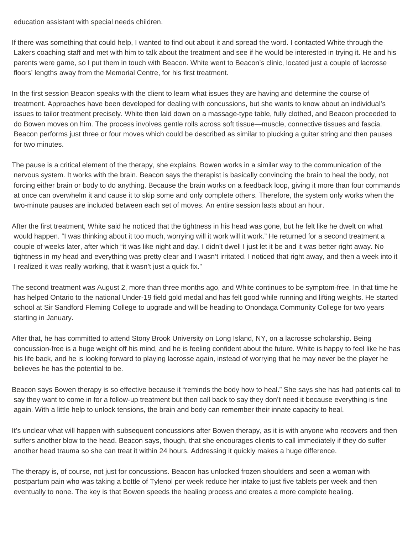education assistant with special needs children.

If there was something that could help, I wanted to find out about it and spread the word. I contacted White through the Lakers coaching staff and met with him to talk about the treatment and see if he would be interested in trying it. He and his parents were game, so I put them in touch with Beacon. White went to Beacon's clinic, located just a couple of lacrosse floors' lengths away from the Memorial Centre, for his first treatment.

In the first session Beacon speaks with the client to learn what issues they are having and determine the course of treatment. Approaches have been developed for dealing with concussions, but she wants to know about an individual's issues to tailor treatment precisely. White then laid down on a massage-type table, fully clothed, and Beacon proceeded to do Bowen moves on him. The process involves gentle rolls across soft tissue—muscle, connective tissues and fascia. Beacon performs just three or four moves which could be described as similar to plucking a guitar string and then pauses for two minutes.

The pause is a critical element of the therapy, she explains. Bowen works in a similar way to the communication of the nervous system. It works with the brain. Beacon says the therapist is basically convincing the brain to heal the body, not forcing either brain or body to do anything. Because the brain works on a feedback loop, giving it more than four commands at once can overwhelm it and cause it to skip some and only complete others. Therefore, the system only works when the two-minute pauses are included between each set of moves. An entire session lasts about an hour.

After the first treatment, White said he noticed that the tightness in his head was gone, but he felt like he dwelt on what would happen. "I was thinking about it too much, worrying will it work will it work." He returned for a second treatment a couple of weeks later, after which "it was like night and day. I didn't dwell I just let it be and it was better right away. No tightness in my head and everything was pretty clear and I wasn't irritated. I noticed that right away, and then a week into it I realized it was really working, that it wasn't just a quick fix."

The second treatment was August 2, more than three months ago, and White continues to be symptom-free. In that time he has helped Ontario to the national Under-19 field gold medal and has felt good while running and lifting weights. He started school at Sir Sandford Fleming College to upgrade and will be heading to Onondaga Community College for two years starting in January.

After that, he has committed to attend Stony Brook University on Long Island, NY, on a lacrosse scholarship. Being concussion-free is a huge weight off his mind, and he is feeling confident about the future. White is happy to feel like he has his life back, and he is looking forward to playing lacrosse again, instead of worrying that he may never be the player he believes he has the potential to be.

Beacon says Bowen therapy is so effective because it "reminds the body how to heal." She says she has had patients call to say they want to come in for a follow-up treatment but then call back to say they don't need it because everything is fine again. With a little help to unlock tensions, the brain and body can remember their innate capacity to heal.

It's unclear what will happen with subsequent concussions after Bowen therapy, as it is with anyone who recovers and then suffers another blow to the head. Beacon says, though, that she encourages clients to call immediately if they do suffer another head trauma so she can treat it within 24 hours. Addressing it quickly makes a huge difference.

The therapy is, of course, not just for concussions. Beacon has unlocked frozen shoulders and seen a woman with postpartum pain who was taking a bottle of Tylenol per week reduce her intake to just five tablets per week and then eventually to none. The key is that Bowen speeds the healing process and creates a more complete healing.